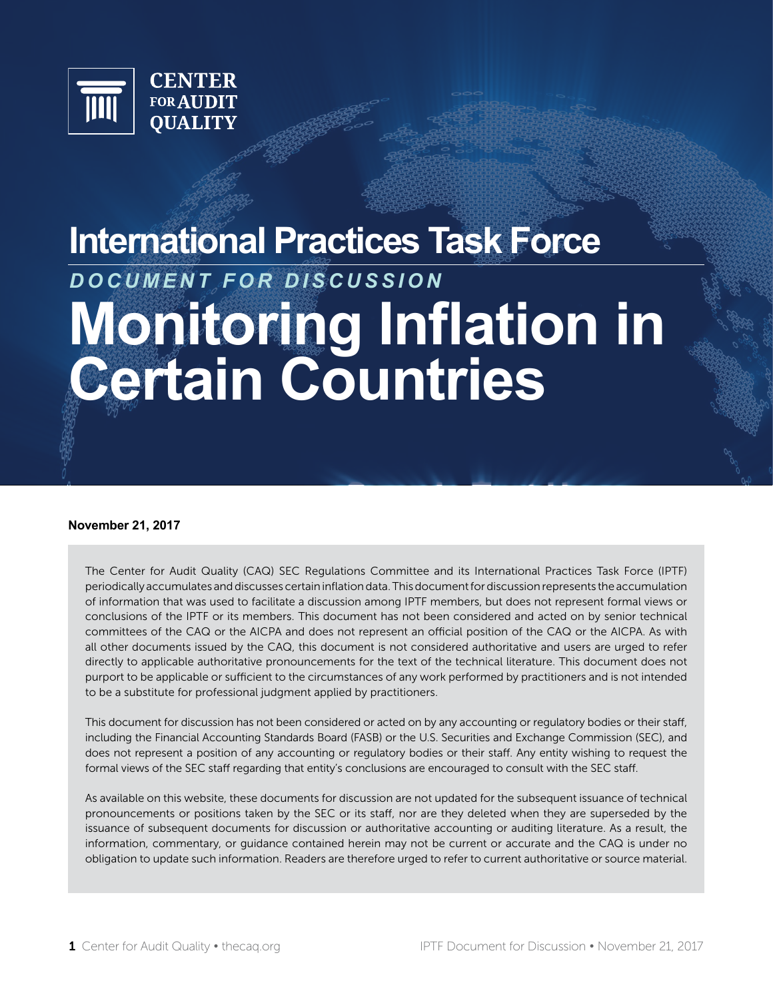

# **International Practices Task Force Monitoring Inflation in Certain Countries** *DOCUMENT FOR DISCUSSION*

#### **November 21, 2017**

The Center for Audit Quality (CAQ) SEC Regulations Committee and its International Practices Task Force (IPTF) periodically accumulates and discusses certain inflation data. This document for discussion represents the accumulation of information that was used to facilitate a discussion among IPTF members, but does not represent formal views or conclusions of the IPTF or its members. This document has not been considered and acted on by senior technical committees of the CAQ or the AICPA and does not represent an official position of the CAQ or the AICPA. As with all other documents issued by the CAQ, this document is not considered authoritative and users are urged to refer directly to applicable authoritative pronouncements for the text of the technical literature. This document does not purport to be applicable or sufficient to the circumstances of any work performed by practitioners and is not intended to be a substitute for professional judgment applied by practitioners.

This document for discussion has not been considered or acted on by any accounting or regulatory bodies or their staff, including the Financial Accounting Standards Board (FASB) or the U.S. Securities and Exchange Commission (SEC), and does not represent a position of any accounting or regulatory bodies or their staff. Any entity wishing to request the formal views of the SEC staff regarding that entity's conclusions are encouraged to consult with the SEC staff.

As available on this website, these documents for discussion are not updated for the subsequent issuance of technical pronouncements or positions taken by the SEC or its staff, nor are they deleted when they are superseded by the issuance of subsequent documents for discussion or authoritative accounting or auditing literature. As a result, the information, commentary, or guidance contained herein may not be current or accurate and the CAQ is under no obligation to update such information. Readers are therefore urged to refer to current authoritative or source material.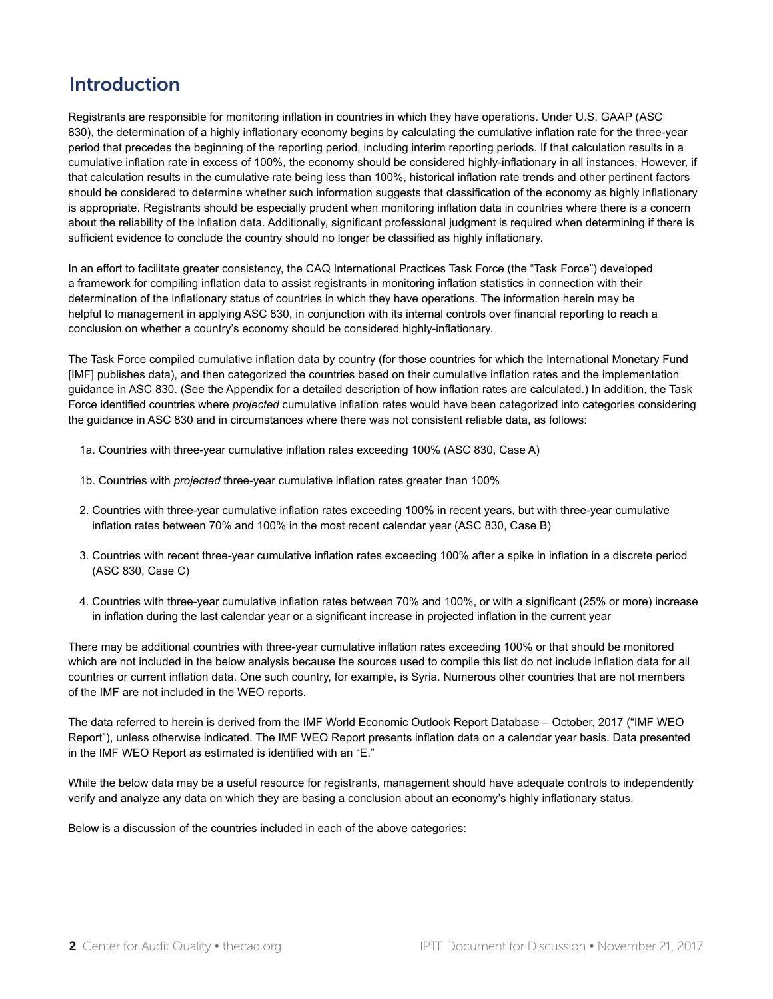## Introduction

Registrants are responsible for monitoring inflation in countries in which they have operations. Under U.S. GAAP (ASC 830), the determination of a highly inflationary economy begins by calculating the cumulative inflation rate for the three-year period that precedes the beginning of the reporting period, including interim reporting periods. If that calculation results in a cumulative inflation rate in excess of 100%, the economy should be considered highly-inflationary in all instances. However, if that calculation results in the cumulative rate being less than 100%, historical inflation rate trends and other pertinent factors should be considered to determine whether such information suggests that classification of the economy as highly inflationary is appropriate. Registrants should be especially prudent when monitoring inflation data in countries where there is a concern about the reliability of the inflation data. Additionally, significant professional judgment is required when determining if there is sufficient evidence to conclude the country should no longer be classified as highly inflationary.

In an effort to facilitate greater consistency, the CAQ International Practices Task Force (the "Task Force") developed a framework for compiling inflation data to assist registrants in monitoring inflation statistics in connection with their determination of the inflationary status of countries in which they have operations. The information herein may be helpful to management in applying ASC 830, in conjunction with its internal controls over financial reporting to reach a conclusion on whether a country's economy should be considered highly-inflationary.

The Task Force compiled cumulative inflation data by country (for those countries for which the International Monetary Fund [IMF] publishes data), and then categorized the countries based on their cumulative inflation rates and the implementation guidance in ASC 830. (See the Appendix for a detailed description of how inflation rates are calculated.) In addition, the Task Force identified countries where *projected* cumulative inflation rates would have been categorized into categories considering the guidance in ASC 830 and in circumstances where there was not consistent reliable data, as follows:

- 1a. Countries with three-year cumulative inflation rates exceeding 100% (ASC 830, Case A)
- 1b. Countries with *projected* three-year cumulative inflation rates greater than 100%
- 2. Countries with three-year cumulative inflation rates exceeding 100% in recent years, but with three-year cumulative inflation rates between 70% and 100% in the most recent calendar year (ASC 830, Case B)
- 3. Countries with recent three-year cumulative inflation rates exceeding 100% after a spike in inflation in a discrete period (ASC 830, Case C)
- 4. Countries with three-year cumulative inflation rates between 70% and 100%, or with a significant (25% or more) increase in inflation during the last calendar year or a significant increase in projected inflation in the current year

There may be additional countries with three-year cumulative inflation rates exceeding 100% or that should be monitored which are not included in the below analysis because the sources used to compile this list do not include inflation data for all countries or current inflation data. One such country, for example, is Syria. Numerous other countries that are not members of the IMF are not included in the WEO reports.

The data referred to herein is derived from the IMF World Economic Outlook Report Database – October, 2017 ("IMF WEO Report"), unless otherwise indicated. The IMF WEO Report presents inflation data on a calendar year basis. Data presented in the IMF WEO Report as estimated is identified with an "E."

While the below data may be a useful resource for registrants, management should have adequate controls to independently verify and analyze any data on which they are basing a conclusion about an economy's highly inflationary status.

Below is a discussion of the countries included in each of the above categories: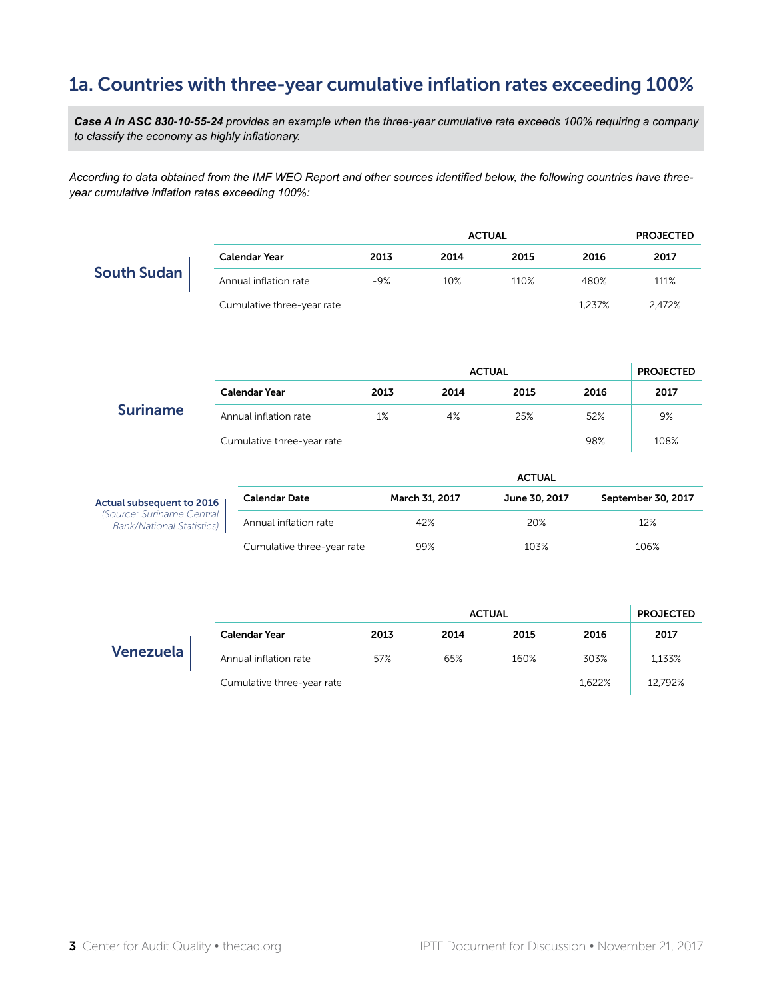# 1a. Countries with three-year cumulative inflation rates exceeding 100%

*Case A in ASC 830-10-55-24 provides an example when the three-year cumulative rate exceeds 100% requiring a company to classify the economy as highly inflationary.*

*According to data obtained from the IMF WEO Report and other sources identified below, the following countries have threeyear cumulative inflation rates exceeding 100%:*

|                                                               |                            | <b>ACTUAL</b> |                                 |               |                    |                  |  |
|---------------------------------------------------------------|----------------------------|---------------|---------------------------------|---------------|--------------------|------------------|--|
|                                                               | <b>Calendar Year</b>       | 2013          | 2014                            | 2015          | 2016               | 2017             |  |
| <b>South Sudan</b>                                            | Annual inflation rate      | $-9%$         | 10%                             | 110%          | 480%               | 111%             |  |
|                                                               | Cumulative three-year rate |               |                                 |               | 1,237%             | 2,472%           |  |
|                                                               |                            |               |                                 | <b>ACTUAL</b> |                    | <b>PROJECTED</b> |  |
|                                                               | <b>Calendar Year</b>       | 2013          | 2014                            | 2015          | 2016               | 2017             |  |
| <b>Suriname</b>                                               | Annual inflation rate      | 1%            | 4%                              | 25%           | 52%                | 9%               |  |
|                                                               | Cumulative three-year rate |               |                                 |               | 98%                | 108%             |  |
|                                                               |                            |               |                                 | <b>ACTUAL</b> |                    |                  |  |
|                                                               | <b>Calendar Date</b>       |               | June 30, 2017<br>March 31, 2017 |               | September 30, 2017 |                  |  |
| Actual subsequent to 2016                                     |                            | 42%           |                                 | 20%           |                    | 12%              |  |
| (Source: Suriname Central<br><b>Bank/National Statistics)</b> | Annual inflation rate      |               |                                 |               |                    |                  |  |

|           |                            |      | <b>ACTUAL</b> |      | <b>PROJECTED</b> |         |
|-----------|----------------------------|------|---------------|------|------------------|---------|
|           | Calendar Year              | 2013 | 2014          | 2015 | 2016             | 2017    |
| Venezuela | Annual inflation rate      | 57%  | 65%           | 160% | 303%             | 1.133%  |
|           | Cumulative three-year rate |      |               |      | 1,622%           | 12.792% |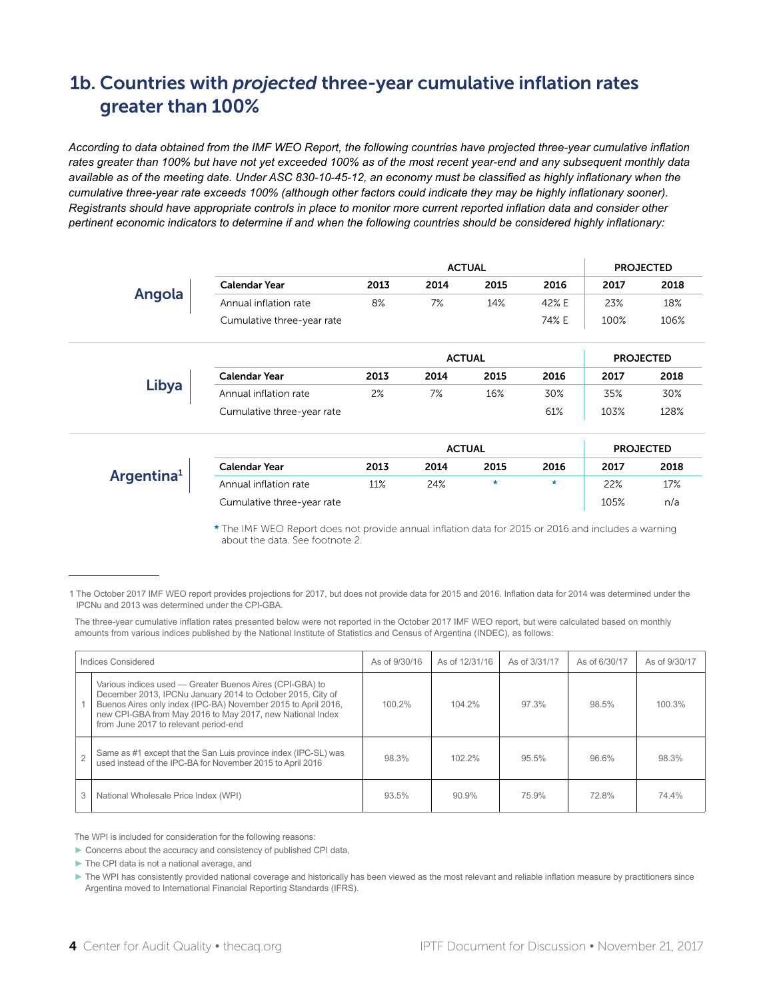# 1b. Countries with *projected* three-year cumulative inflation rates greater than 100%

*According to data obtained from the IMF WEO Report, the following countries have projected three-year cumulative inflation rates greater than 100% but have not yet exceeded 100% as of the most recent year-end and any subsequent monthly data available as of the meeting date. Under ASC 830-10-45-12, an economy must be classified as highly inflationary when the cumulative three-year rate exceeds 100% (although other factors could indicate they may be highly inflationary sooner). Registrants should have appropriate controls in place to monitor more current reported inflation data and consider other pertinent economic indicators to determine if and when the following countries should be considered highly inflationary:*

|                        | <b>ACTUAL</b>              |      |      |               |         |      | <b>PROJECTED</b> |
|------------------------|----------------------------|------|------|---------------|---------|------|------------------|
|                        | <b>Calendar Year</b>       | 2013 | 2014 | 2015          | 2016    | 2017 | 2018             |
| Angola                 | Annual inflation rate      | 8%   | 7%   | 14%           | 42% E   | 23%  | 18%              |
|                        | Cumulative three-year rate |      |      |               | 74% E   | 100% | 106%             |
|                        |                            |      |      | <b>ACTUAL</b> |         |      | <b>PROJECTED</b> |
|                        | <b>Calendar Year</b>       | 2013 | 2014 | 2015          | 2016    | 2017 | 2018             |
| Libya                  | Annual inflation rate      | 2%   | 7%   | 16%           | 30%     | 35%  | 30%              |
|                        | Cumulative three-year rate |      |      |               | 61%     | 103% | 128%             |
|                        |                            |      |      | <b>ACTUAL</b> |         |      | <b>PROJECTED</b> |
|                        | <b>Calendar Year</b>       | 2013 | 2014 | 2015          | 2016    | 2017 | 2018             |
| Argentina <sup>1</sup> | Annual inflation rate      | 11%  | 24%  | *             | $\star$ | 22%  | 17%              |
|                        | Cumulative three-year rate |      |      |               |         | 105% | n/a              |

\* The IMF WEO Report does not provide annual inflation data for 2015 or 2016 and includes a warning about the data. See footnote 2.

The three-year cumulative inflation rates presented below were not reported in the October 2017 IMF WEO report, but were calculated based on monthly amounts from various indices published by the National Institute of Statistics and Census of Argentina (INDEC), as follows:

| Indices Considered |                                                                                                                                                                                                                                                                                               | As of 9/30/16 | As of 12/31/16 | As of 3/31/17 | As of 6/30/17 | As of 9/30/17 |
|--------------------|-----------------------------------------------------------------------------------------------------------------------------------------------------------------------------------------------------------------------------------------------------------------------------------------------|---------------|----------------|---------------|---------------|---------------|
|                    | Various indices used - Greater Buenos Aires (CPI-GBA) to<br>December 2013, IPCNu January 2014 to October 2015, City of<br>Buenos Aires only index (IPC-BA) November 2015 to April 2016,<br>new CPI-GBA from May 2016 to May 2017, new National Index<br>from June 2017 to relevant period-end | 100.2%        | 104.2%         | 97.3%         | 98.5%         | 100.3%        |
|                    | Same as #1 except that the San Luis province index (IPC-SL) was<br>used instead of the IPC-BA for November 2015 to April 2016                                                                                                                                                                 | 98.3%         | 1022%          | 95.5%         | 96.6%         | 98.3%         |
| 3                  | National Wholesale Price Index (WPI)                                                                                                                                                                                                                                                          | 93.5%         | 90.9%          | 75.9%         | 72.8%         | 74.4%         |

The WPI is included for consideration for the following reasons:

► Concerns about the accuracy and consistency of published CPI data,

► The CPI data is not a national average, and

► The WPI has consistently provided national coverage and historically has been viewed as the most relevant and reliable inflation measure by practitioners since Argentina moved to International Financial Reporting Standards (IFRS).

<sup>1</sup> The October 2017 IMF WEO report provides projections for 2017, but does not provide data for 2015 and 2016. Inflation data for 2014 was determined under the IPCNu and 2013 was determined under the CPI-GBA.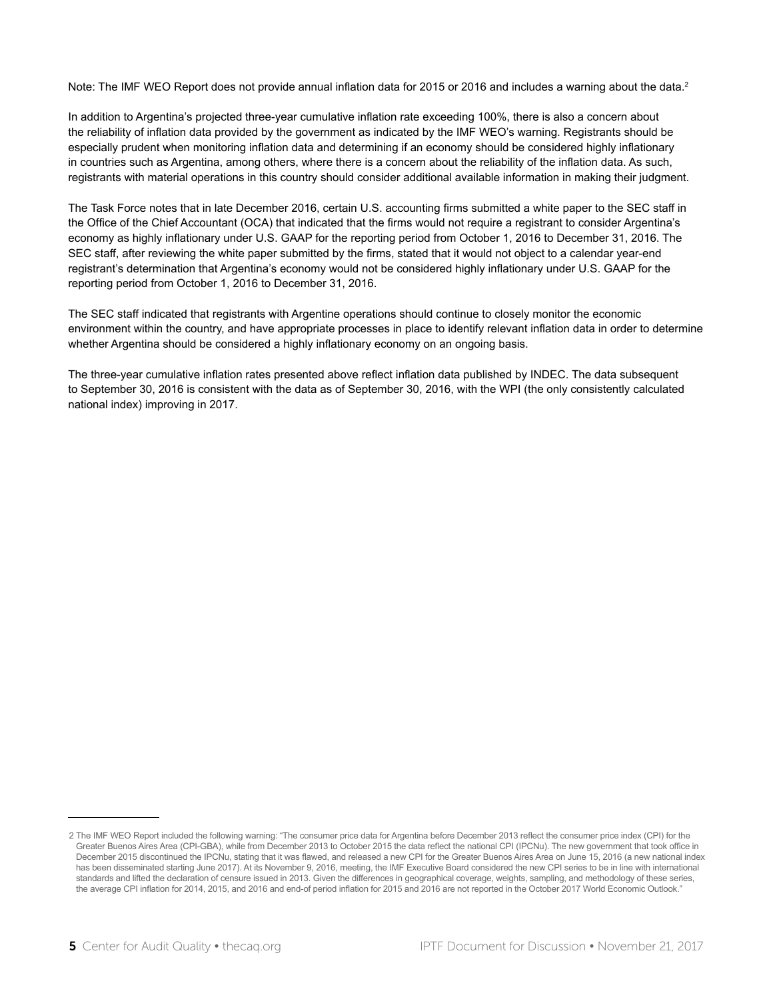Note: The IMF WEO Report does not provide annual inflation data for 2015 or 2016 and includes a warning about the data.<sup>2</sup>

In addition to Argentina's projected three-year cumulative inflation rate exceeding 100%, there is also a concern about the reliability of inflation data provided by the government as indicated by the IMF WEO's warning. Registrants should be especially prudent when monitoring inflation data and determining if an economy should be considered highly inflationary in countries such as Argentina, among others, where there is a concern about the reliability of the inflation data. As such, registrants with material operations in this country should consider additional available information in making their judgment.

The Task Force notes that in late December 2016, certain U.S. accounting firms submitted a white paper to the SEC staff in the Office of the Chief Accountant (OCA) that indicated that the firms would not require a registrant to consider Argentina's economy as highly inflationary under U.S. GAAP for the reporting period from October 1, 2016 to December 31, 2016. The SEC staff, after reviewing the white paper submitted by the firms, stated that it would not object to a calendar year-end registrant's determination that Argentina's economy would not be considered highly inflationary under U.S. GAAP for the reporting period from October 1, 2016 to December 31, 2016.

The SEC staff indicated that registrants with Argentine operations should continue to closely monitor the economic environment within the country, and have appropriate processes in place to identify relevant inflation data in order to determine whether Argentina should be considered a highly inflationary economy on an ongoing basis.

The three-year cumulative inflation rates presented above reflect inflation data published by INDEC. The data subsequent to September 30, 2016 is consistent with the data as of September 30, 2016, with the WPI (the only consistently calculated national index) improving in 2017.

<sup>2</sup> The IMF WEO Report included the following warning: "The consumer price data for Argentina before December 2013 reflect the consumer price index (CPI) for the Greater Buenos Aires Area (CPI-GBA), while from December 2013 to October 2015 the data reflect the national CPI (IPCNu). The new government that took office in December 2015 discontinued the IPCNu, stating that it was flawed, and released a new CPI for the Greater Buenos Aires Area on June 15, 2016 (a new national index has been disseminated starting June 2017). At its November 9, 2016, meeting, the IMF Executive Board considered the new CPI series to be in line with international standards and lifted the declaration of censure issued in 2013. Given the differences in geographical coverage, weights, sampling, and methodology of these series, the average CPI inflation for 2014, 2015, and 2016 and end-of period inflation for 2015 and 2016 are not reported in the October 2017 World Economic Outlook."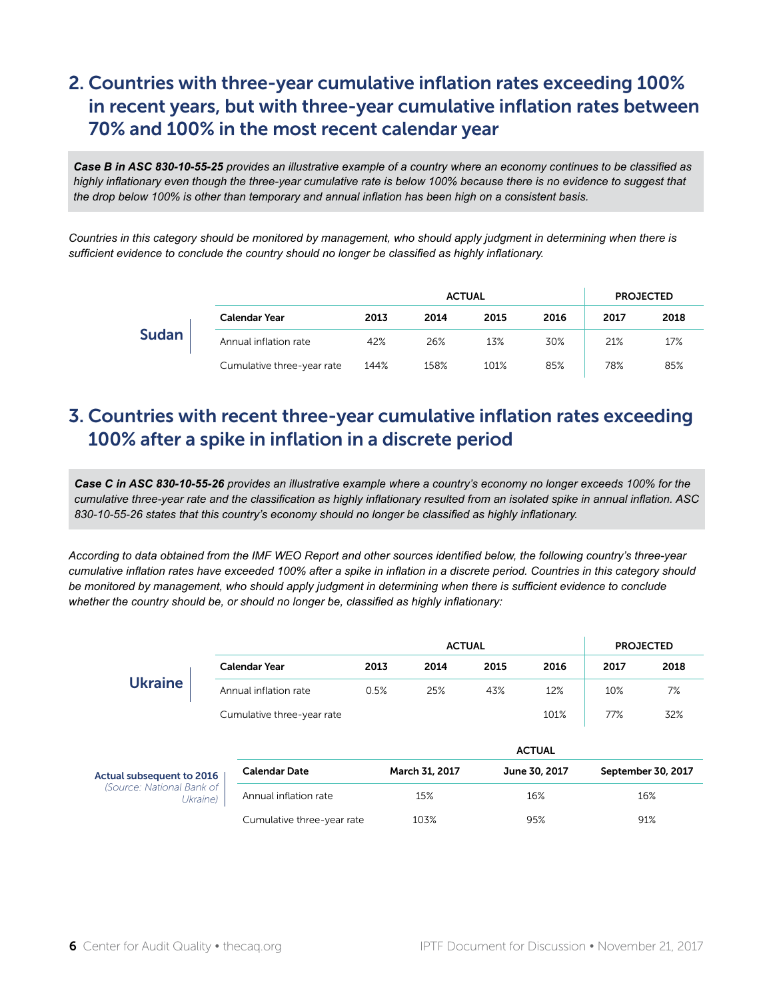# 2. Countries with three-year cumulative inflation rates exceeding 100% in recent years, but with three-year cumulative inflation rates between 70% and 100% in the most recent calendar year

*Case B in ASC 830-10-55-25 provides an illustrative example of a country where an economy continues to be classified as highly inflationary even though the three-year cumulative rate is below 100% because there is no evidence to suggest that the drop below 100% is other than temporary and annual inflation has been high on a consistent basis.*

*Countries in this category should be monitored by management, who should apply judgment in determining when there is sufficient evidence to conclude the country should no longer be classified as highly inflationary.*

|              |                            |      |      | <b>ACTUAL</b> |      |      | <b>PROJECTED</b> |
|--------------|----------------------------|------|------|---------------|------|------|------------------|
|              | Calendar Year              | 2013 | 2014 | 2015          | 2016 | 2017 | 2018             |
| <b>Sudan</b> | Annual inflation rate      | 42%  | 26%  | 13%           | 30%  | 21%  | 17%              |
|              | Cumulative three-year rate | 144% | 158% | 101%          | 85%  | 78%  | 85%              |

#### 3. Countries with recent three-year cumulative inflation rates exceeding 100% after a spike in inflation in a discrete period

*Case C in ASC 830-10-55-26 provides an illustrative example where a country's economy no longer exceeds 100% for the cumulative three-year rate and the classification as highly inflationary resulted from an isolated spike in annual inflation. ASC 830-10-55-26 states that this country's economy should no longer be classified as highly inflationary.*

*According to data obtained from the IMF WEO Report and other sources identified below, the following country's three-year cumulative inflation rates have exceeded 100% after a spike in inflation in a discrete period. Countries in this category should*  be monitored by management, who should apply judgment in determining when there is sufficient evidence to conclude *whether the country should be, or should no longer be, classified as highly inflationary:*

|                                       |                               |                            | <b>ACTUAL</b><br><b>PROJECTED</b> |                |      |               |      |                    |  |  |
|---------------------------------------|-------------------------------|----------------------------|-----------------------------------|----------------|------|---------------|------|--------------------|--|--|
|                                       |                               | <b>Calendar Year</b>       | 2013                              | 2014           | 2015 | 2016          | 2017 | 2018               |  |  |
| <b>Ukraine</b>                        | 0.5%<br>Annual inflation rate |                            |                                   | 25%            | 43%  | 12%           | 10%  | 7%                 |  |  |
|                                       |                               | Cumulative three-year rate |                                   |                |      | 101%          | 77%  | 32%                |  |  |
|                                       |                               |                            |                                   |                |      | <b>ACTUAL</b> |      |                    |  |  |
| Actual subsequent to 2016             |                               | <b>Calendar Date</b>       |                                   | March 31, 2017 |      | June 30, 2017 |      | September 30, 2017 |  |  |
| (Source: National Bank of<br>Ukraine) |                               | Annual inflation rate      |                                   | 15%            |      | 16%           |      | 16%                |  |  |
|                                       |                               | Cumulative three-year rate |                                   | 103%           |      | 95%           |      | 91%                |  |  |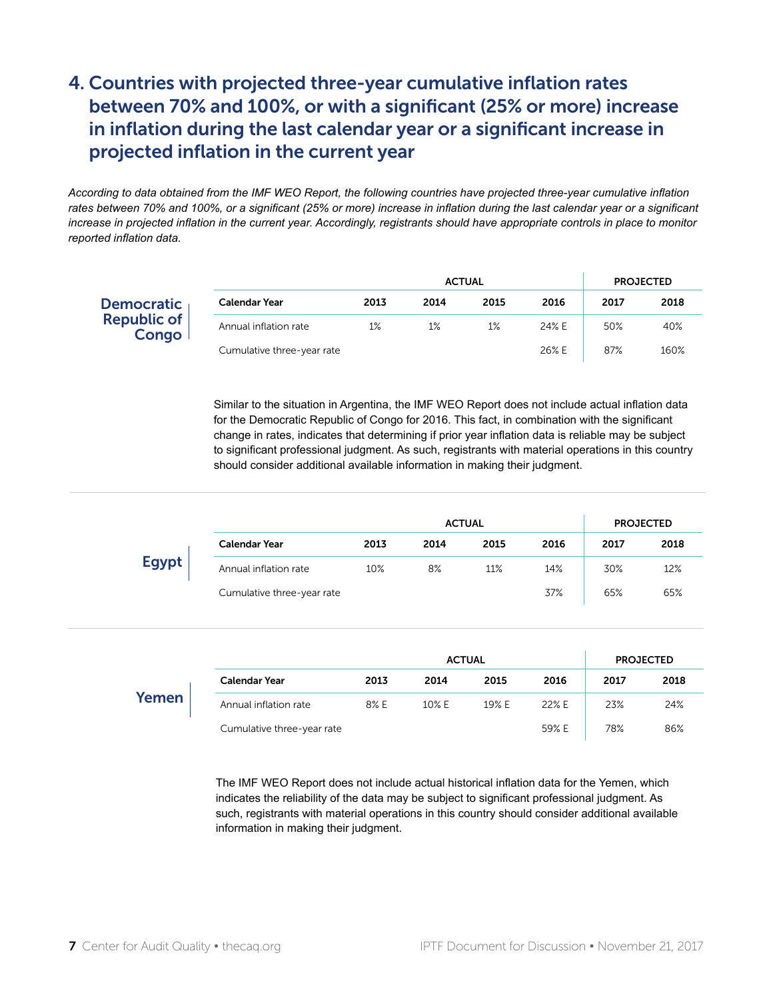# 4. Countries with projected three-year cumulative inflation rates between 70% and 100%, or with a significant (25% or more) increase in inflation during the last calendar year or a significant increase in projected inflation in the current year

*According to data obtained from the IMF WEO Report, the following countries have projected three-year cumulative inflation rates between 70% and 100%, or a significant (25% or more) increase in inflation during the last calendar year or a significant increase in projected inflation in the current year. Accordingly, registrants should have appropriate controls in place to monitor reported inflation data.*

|                            |      |      | <b>ACTUAL</b> |       |      | <b>PROJECTED</b> |
|----------------------------|------|------|---------------|-------|------|------------------|
| Calendar Year              | 2013 | 2014 | 2015          | 2016  | 2017 | 2018             |
| Annual inflation rate      | 1%   | 1%   | 1%            | 24% E | 50%  | 40%              |
| Cumulative three-year rate |      |      |               | 26% E | 87%  | 160%             |

Similar to the situation in Argentina, the IMF WEO Report does not include actual inflation data for the Democratic Republic of Congo for 2016. This fact, in combination with the significant change in rates, indicates that determining if prior year inflation data is reliable may be subject to significant professional judgment. As such, registrants with material operations in this country should consider additional available information in making their judgment.

|              | <b>ACTUAL</b><br><b>PROJECTED</b> |      |      |      |      |      |      |  |
|--------------|-----------------------------------|------|------|------|------|------|------|--|
|              | <b>Calendar Year</b>              | 2013 | 2014 | 2015 | 2016 | 2017 | 2018 |  |
| <b>Egypt</b> | Annual inflation rate             | 10%  | 8%   | 11%  | 14%  | 30%  | 12%  |  |
|              | Cumulative three-year rate        |      |      |      | 37%  | 65%  | 65%  |  |

|       |                            |      |       | <b>ACTUAL</b> |       | <b>PROJECTED</b> |      |  |
|-------|----------------------------|------|-------|---------------|-------|------------------|------|--|
|       | <b>Calendar Year</b>       | 2013 | 2014  | 2015          | 2016  | 2017             | 2018 |  |
| Yemen | Annual inflation rate      | 8% E | 10% E | 19% E         | 22% E | 23%              | 24%  |  |
|       | Cumulative three-year rate |      |       |               | 59% E | 78%              | 86%  |  |

The IMF WEO Report does not include actual historical inflation data for the Yemen, which indicates the reliability of the data may be subject to significant professional judgment. As such, registrants with material operations in this country should consider additional available information in making their judgment.

Democratic Republic of **Congo**